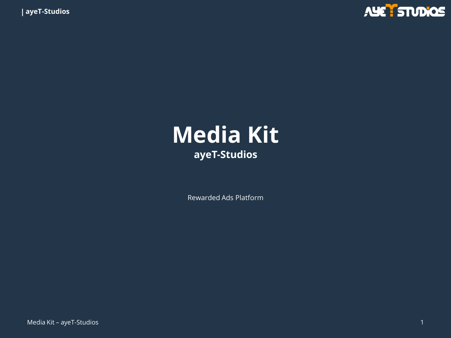**| ayeT-Studios**





Rewarded Ads Platform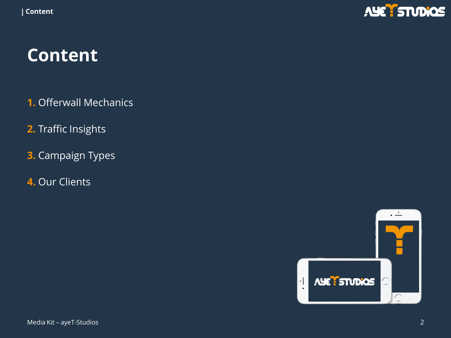

### **Content**

- **1.** Offerwall Mechanics
- **2.** Traffic Insights
- **3.** Campaign Types
- **4.** Our Clients

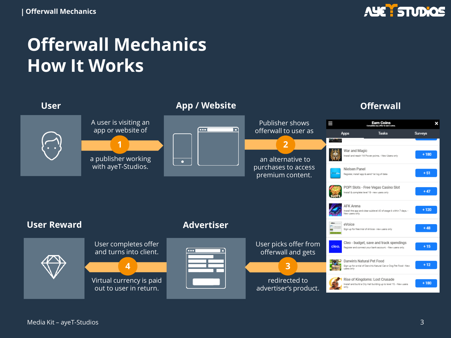

# **Offerwall Mechanics How It Works**

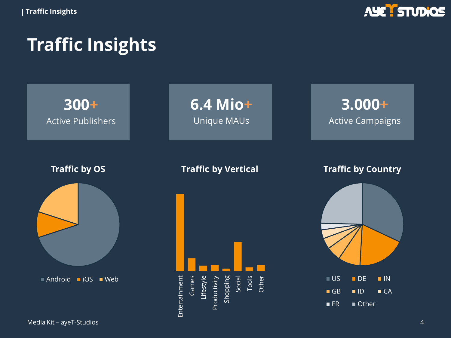

# **Traffic Insights**

**300+** Active Publishers

**Traffic by OS**



**6.4 Mio+** Unique MAUs

**3.000+** Active Campaigns

**Traffic by Vertical**



**Traffic by Country**

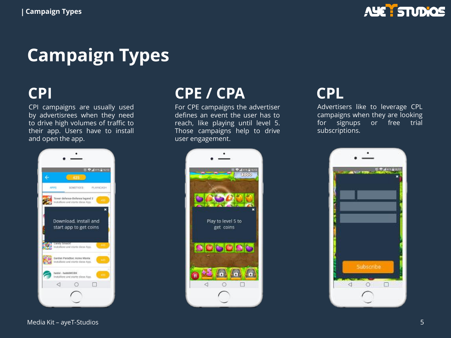

# **Campaign Types**

### **CPI**

CPI campaigns are usually used by advertisrees when they need to drive high volumes of traffic to their app. Users have to install and open the app.



**CPE / CPA**

For CPE campaigns the advertiser defines an event the user has to reach, like playing until level 5. Those campaigns help to drive user engagement.



### **CPL**

Advertisers like to leverage CPL campaigns when they are looking for signups or free trial subscriptions.

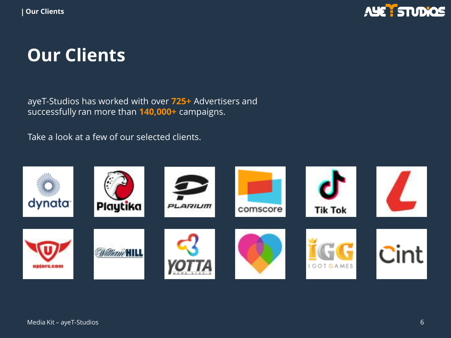

## **Our Clients**

ayeT-Studios has worked with over **725+** Advertisers and successfully ran more than **140,000+** campaigns.

Take a look at a few of our selected clients.